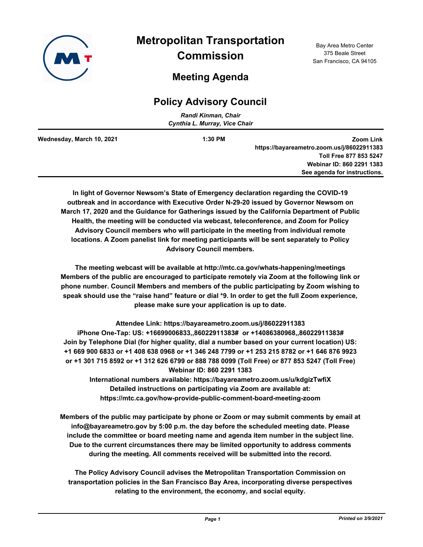

# **Meeting Agenda**

# **Policy Advisory Council**

| Randi Kinman, Chair<br>Cynthia L. Murray, Vice Chair |         |                                            |  |  |
|------------------------------------------------------|---------|--------------------------------------------|--|--|
|                                                      |         |                                            |  |  |
| Wednesday, March 10, 2021                            | 1:30 PM | Zoom Link                                  |  |  |
|                                                      |         | https://bayareametro.zoom.us/j/86022911383 |  |  |
|                                                      |         | Toll Free 877 853 5247                     |  |  |
|                                                      |         | Webinar ID: 860 2291 1383                  |  |  |
|                                                      |         | See agenda for instructions.               |  |  |

**In light of Governor Newsom's State of Emergency declaration regarding the COVID-19 outbreak and in accordance with Executive Order N-29-20 issued by Governor Newsom on March 17, 2020 and the Guidance for Gatherings issued by the California Department of Public Health, the meeting will be conducted via webcast, teleconference, and Zoom for Policy Advisory Council members who will participate in the meeting from individual remote locations. A Zoom panelist link for meeting participants will be sent separately to Policy Advisory Council members.**

**The meeting webcast will be available at http://mtc.ca.gov/whats-happening/meetings Members of the public are encouraged to participate remotely via Zoom at the following link or phone number. Council Members and members of the public participating by Zoom wishing to speak should use the "raise hand" feature or dial \*9. In order to get the full Zoom experience, please make sure your application is up to date.**

**Attendee Link: https://bayareametro.zoom.us/j/86022911383 iPhone One-Tap: US: +16699006833,,86022911383# or +14086380968,,86022911383# Join by Telephone Dial (for higher quality, dial a number based on your current location) US: +1 669 900 6833 or +1 408 638 0968 or +1 346 248 7799 or +1 253 215 8782 or +1 646 876 9923 or +1 301 715 8592 or +1 312 626 6799 or 888 788 0099 (Toll Free) or 877 853 5247 (Toll Free) Webinar ID: 860 2291 1383**

**International numbers available: https://bayareametro.zoom.us/u/kdgizTwfiX Detailed instructions on participating via Zoom are available at: https://mtc.ca.gov/how-provide-public-comment-board-meeting-zoom**

**Members of the public may participate by phone or Zoom or may submit comments by email at info@bayareametro.gov by 5:00 p.m. the day before the scheduled meeting date. Please include the committee or board meeting name and agenda item number in the subject line. Due to the current circumstances there may be limited opportunity to address comments during the meeting. All comments received will be submitted into the record.**

**The Policy Advisory Council advises the Metropolitan Transportation Commission on transportation policies in the San Francisco Bay Area, incorporating diverse perspectives relating to the environment, the economy, and social equity.**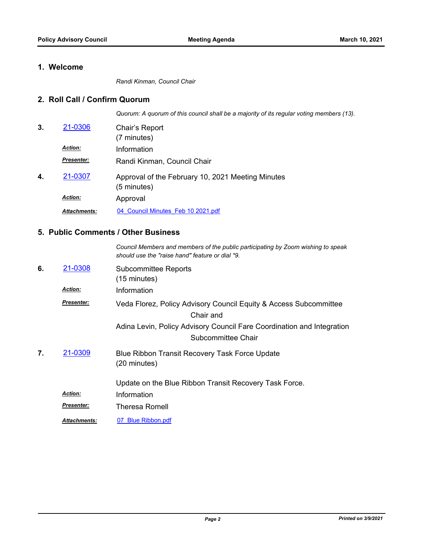### **1. Welcome**

*Randi Kinman, Council Chair*

#### **2. Roll Call / Confirm Quorum**

*Quorum: A quorum of this council shall be a majority of its regular voting members (13).*

*Council Members and members of the public participating by Zoom wishing to speak* 

| 3. | 21-0306             | Chair's Report<br>(7 minutes)                                    |
|----|---------------------|------------------------------------------------------------------|
|    | <b>Action:</b>      | Information                                                      |
|    | <b>Presenter:</b>   | Randi Kinman, Council Chair                                      |
| 4. | 21-0307             | Approval of the February 10, 2021 Meeting Minutes<br>(5 minutes) |
|    | <b>Action:</b>      | Approval                                                         |
|    | <b>Attachments:</b> | 04 Council Minutes Feb 10 2021.pdf                               |

#### **5. Public Comments / Other Business**

|    |                     | should use the "raise hand" feature or dial *9.                                                                                                                                |
|----|---------------------|--------------------------------------------------------------------------------------------------------------------------------------------------------------------------------|
| 6. | 21-0308             | <b>Subcommittee Reports</b><br>(15 minutes)                                                                                                                                    |
|    | <b>Action:</b>      | Information                                                                                                                                                                    |
|    | <b>Presenter:</b>   | Veda Florez, Policy Advisory Council Equity & Access Subcommittee<br>Chair and<br>Adina Levin, Policy Advisory Council Fare Coordination and Integration<br>Subcommittee Chair |
| 7. | 21-0309             | Blue Ribbon Transit Recovery Task Force Update<br>(20 minutes)<br>Update on the Blue Ribbon Transit Recovery Task Force.                                                       |
|    | <b>Action:</b>      | Information                                                                                                                                                                    |
|    | <b>Presenter:</b>   | Theresa Romell                                                                                                                                                                 |
|    | <b>Attachments:</b> | 07 Blue Ribbon.pdf                                                                                                                                                             |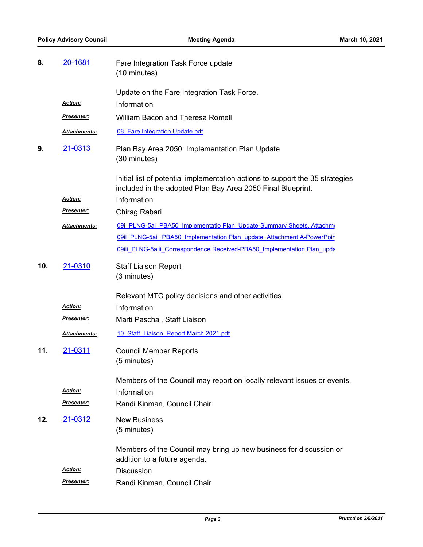| 8.  | <u>20-1681</u>               | Fare Integration Task Force update<br>(10 minutes)                                                                                           |
|-----|------------------------------|----------------------------------------------------------------------------------------------------------------------------------------------|
|     |                              | Update on the Fare Integration Task Force.                                                                                                   |
|     | Action:                      | Information                                                                                                                                  |
|     | Presenter:                   | <b>William Bacon and Theresa Romell</b>                                                                                                      |
|     | Attachments:                 | 08 Fare Integration Update.pdf                                                                                                               |
| 9.  | 21-0313                      | Plan Bay Area 2050: Implementation Plan Update<br>(30 minutes)                                                                               |
|     |                              | Initial list of potential implementation actions to support the 35 strategies<br>included in the adopted Plan Bay Area 2050 Final Blueprint. |
|     | <b>Action:</b>               | Information                                                                                                                                  |
|     | Presenter:                   | Chirag Rabari                                                                                                                                |
|     | Attachments:                 | 09i PLNG-5ai PBA50 Implementatio Plan Update-Summary Sheets, Attachmo                                                                        |
|     |                              | 09ii PLNG-5aii PBA50 Implementation Plan update Attachment A-PowerPoir                                                                       |
|     |                              | 09iii PLNG-5aiii Correspondence Received-PBA50 Implementation Plan upda                                                                      |
| 10. | 21-0310                      | <b>Staff Liaison Report</b>                                                                                                                  |
|     |                              | (3 minutes)                                                                                                                                  |
|     |                              | Relevant MTC policy decisions and other activities.                                                                                          |
|     | Action:                      | Information                                                                                                                                  |
|     | Presenter:                   | Marti Paschal, Staff Liaison                                                                                                                 |
|     | Attachments:                 | 10 Staff Liaison Report March 2021.pdf                                                                                                       |
| 11. | 21-0311                      | <b>Council Member Reports</b><br>(5 minutes)                                                                                                 |
|     | <b>Action:</b><br>Presenter: | Members of the Council may report on locally relevant issues or events.<br>Information<br>Randi Kinman, Council Chair                        |
|     |                              |                                                                                                                                              |
| 12. | 21-0312                      | <b>New Business</b><br>(5 minutes)                                                                                                           |
|     |                              | Members of the Council may bring up new business for discussion or<br>addition to a future agenda.                                           |
|     | <b>Action:</b>               | <b>Discussion</b>                                                                                                                            |
|     | <u>Presenter:</u>            | Randi Kinman, Council Chair                                                                                                                  |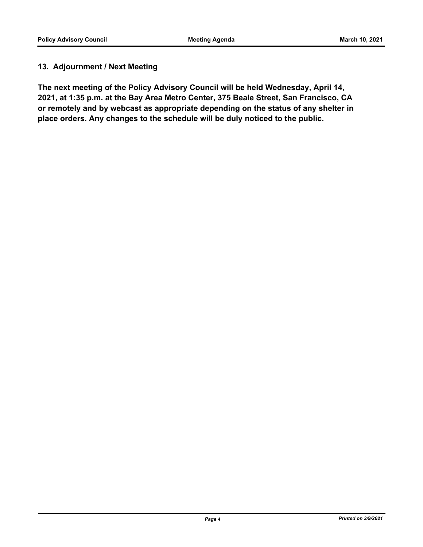### **13. Adjournment / Next Meeting**

**The next meeting of the Policy Advisory Council will be held Wednesday, April 14, 2021, at 1:35 p.m. at the Bay Area Metro Center, 375 Beale Street, San Francisco, CA or remotely and by webcast as appropriate depending on the status of any shelter in place orders. Any changes to the schedule will be duly noticed to the public.**